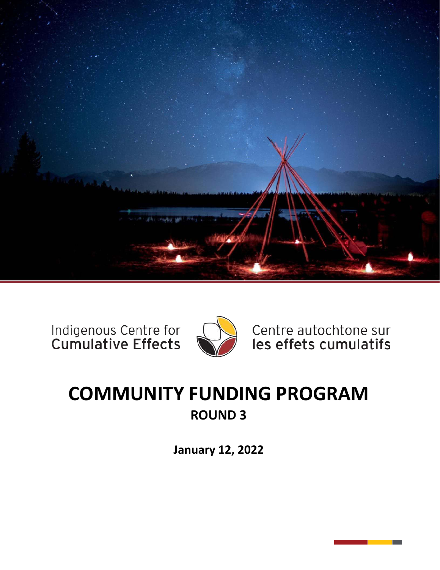

Indigenous Centre for<br>Cumulative Effects



Centre autochtone sur les effets cumulatifs

# **COMMUNITY FUNDING PROGRAM ROUND 3**

**January 12, 2022**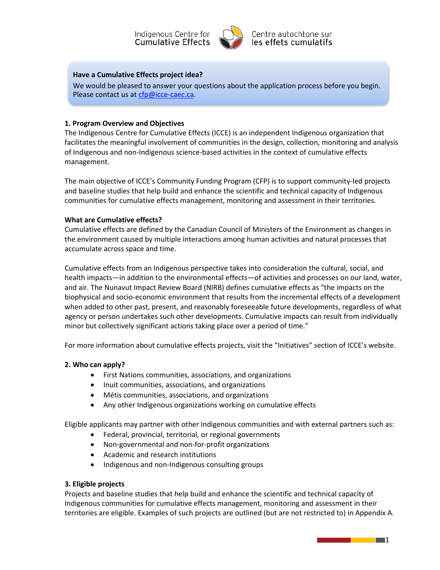



Centre autochtone sur les effets cumulatifs

#### **Have a Cumulative Effects project idea?**

We would be pleased to answer your questions about the application process before you begin. Please contact us at cfp@icce-caec.ca.

#### **1. Program Overview and Objectives**

The Indigenous Centre for Cumulative Effects (ICCE) is an independent Indigenous organization that facilitates the meaningful involvement of communities in the design, collection, monitoring and analysis of Indigenous and non-Indigenous science-based activities in the context of cumulative effects management.

The main objective of ICCE's Community Funding Program (CFP) is to support community-led projects and baseline studies that help build and enhance the scientific and technical capacity of Indigenous communities for cumulative effects management, monitoring and assessment in their territories.

#### **What are Cumulative effects?**

Cumulative effects are defined by the Canadian Council of Ministers of the Environment as changes in the environment caused by multiple interactions among human activities and natural processes that accumulate across space and time.

Cumulative effects from an Indigenous perspective takes into consideration the cultural, social, and health impacts—in addition to the environmental effects—of activities and processes on our land, water, and air. The Nunavut Impact Review Board (NIRB) defines cumulative effects as "the impacts on the biophysical and socio-economic environment that results from the incremental effects of a development when added to other past, present, and reasonably foreseeable future developments, regardless of what agency or person undertakes such other developments. Cumulative impacts can result from individually minor but collectively significant actions taking place over a period of time."

For more information about cumulative effects projects, visit the "Initiatives" section of ICCE's website.

#### **2. Who can apply?**

- First Nations communities, associations, and organizations
- Inuit communities, associations, and organizations
- Métis communities, associations, and organizations
- Any other Indigenous organizations working on cumulative effects

Eligible applicants may partner with other Indigenous communities and with external partners such as:

- Federal, provincial, territorial, or regional governments
- Non-governmental and non-for-profit organizations
- Academic and research institutions
- Indigenous and non-Indigenous consulting groups

#### **3. Eligible projects**

Projects and baseline studies that help build and enhance the scientific and technical capacity of Indigenous communities for cumulative effects management, monitoring and assessment in their territories are eligible. Examples of such projects are outlined (but are not restricted to) in Appendix A.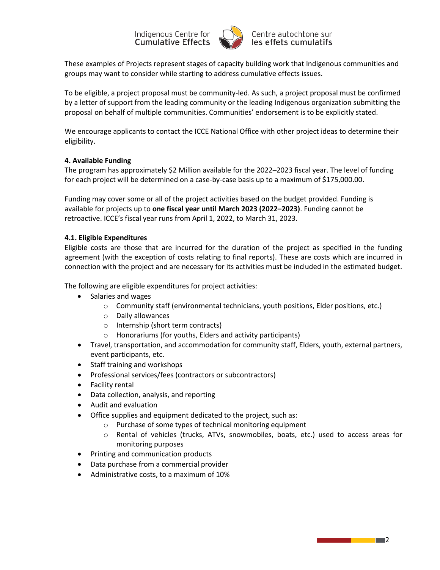

These examples of Projects represent stages of capacity building work that Indigenous communities and groups may want to consider while starting to address cumulative effects issues.

To be eligible, a project proposal must be community-led. As such, a project proposal must be confirmed by a letter of support from the leading community or the leading Indigenous organization submitting the proposal on behalf of multiple communities. Communities' endorsement is to be explicitly stated.

We encourage applicants to contact the ICCE National Office with other project ideas to determine their eligibility.

### **4. Available Funding**

The program has approximately \$2 Million available for the 2022–2023 fiscal year. The level of funding for each project will be determined on a case-by-case basis up to a maximum of \$175,000.00.

Funding may cover some or all of the project activities based on the budget provided. Funding is available for projects up to **one fiscal year until March 2023 (2022–2023)**. Funding cannot be retroactive. ICCE's fiscal year runs from April 1, 2022, to March 31, 2023.

### **4.1. Eligible Expenditures**

Eligible costs are those that are incurred for the duration of the project as specified in the funding agreement (with the exception of costs relating to final reports). These are costs which are incurred in connection with the project and are necessary for its activities must be included in the estimated budget.

The following are eligible expenditures for project activities:

- Salaries and wages
	- $\circ$  Community staff (environmental technicians, youth positions, Elder positions, etc.)
	- o Daily allowances
	- o Internship (short term contracts)
	- o Honorariums (for youths, Elders and activity participants)
- Travel, transportation, and accommodation for community staff, Elders, youth, external partners, event participants, etc.
- Staff training and workshops
- Professional services/fees (contractors or subcontractors)
- Facility rental
- Data collection, analysis, and reporting
- Audit and evaluation
- Office supplies and equipment dedicated to the project, such as:
	- o Purchase of some types of technical monitoring equipment
	- o Rental of vehicles (trucks, ATVs, snowmobiles, boats, etc.) used to access areas for monitoring purposes
- Printing and communication products
- Data purchase from a commercial provider
- Administrative costs, to a maximum of 10%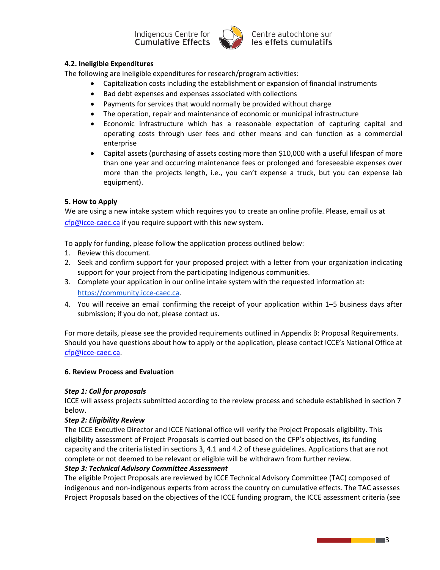

## **4.2. Ineligible Expenditures**

The following are ineligible expenditures for research/program activities:

- Capitalization costs including the establishment or expansion of financial instruments
- Bad debt expenses and expenses associated with collections
- Payments for services that would normally be provided without charge
- The operation, repair and maintenance of economic or municipal infrastructure
- Economic infrastructure which has a reasonable expectation of capturing capital and operating costs through user fees and other means and can function as a commercial enterprise
- Capital assets (purchasing of assets costing more than \$10,000 with a useful lifespan of more than one year and occurring maintenance fees or prolonged and foreseeable expenses over more than the projects length, i.e., you can't expense a truck, but you can expense lab equipment).

### **5. How to Apply**

We are using a new intake system which requires you to create an online profile. Please, email us at [cfp@icce-caec.ca](mailto:cfp@icce-caec.ca) if you require support with this new system.

To apply for funding, please follow the application process outlined below:

- 1. Review this document.
- 2. Seek and confirm support for your proposed project with a letter from your organization indicating support for your project from the participating Indigenous communities.
- 3. Complete your application in our online intake system with the requested information at: [https://community.icce-caec.ca.](https://community.icce-caec.ca/)
- 4. You will receive an email confirming the receipt of your application within 1–5 business days after submission; if you do not, please contact us.

For more details, please see the provided requirements outlined in Appendix B: Proposal Requirements. Should you have questions about how to apply or the application, please contact ICCE's National Office at [cfp@icce-caec.ca.](mailto:cfp@icce-caec.ca)

### **6. Review Process and Evaluation**

### *Step 1: Call for proposals*

ICCE will assess projects submitted according to the review process and schedule established in section 7 below.

### *Step 2: Eligibility Review*

The ICCE Executive Director and ICCE National office will verify the Project Proposals eligibility. This eligibility assessment of Project Proposals is carried out based on the CFP's objectives, its funding capacity and the criteria listed in sections 3, 4.1 and 4.2 of these guidelines. Applications that are not complete or not deemed to be relevant or eligible will be withdrawn from further review.

### *Step 3: Technical Advisory Committee Assessment*

The eligible Project Proposals are reviewed by ICCE Technical Advisory Committee (TAC) composed of indigenous and non-indigenous experts from across the country on cumulative effects. The TAC assesses Project Proposals based on the objectives of the ICCE funding program, the ICCE assessment criteria (see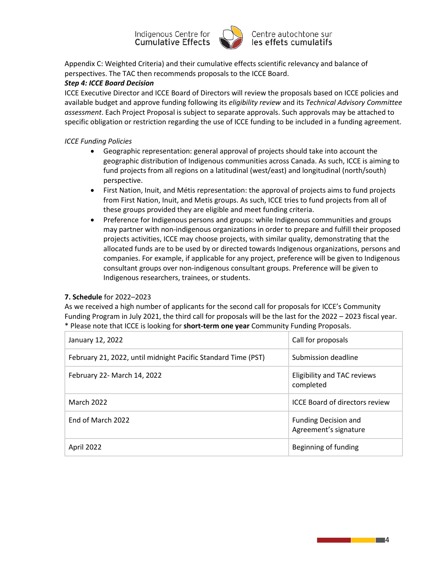

Appendix C: Weighted Criteria) and their cumulative effects scientific relevancy and balance of perspectives. The TAC then recommends proposals to the ICCE Board.

### *Step 4: ICCE Board Decision*

ICCE Executive Director and ICCE Board of Directors will review the proposals based on ICCE policies and available budget and approve funding following its *eligibility review* and its *Technical Advisory Committee assessment*. Each Project Proposal is subject to separate approvals. Such approvals may be attached to specific obligation or restriction regarding the use of ICCE funding to be included in a funding agreement.

### *ICCE Funding Policies*

- Geographic representation: general approval of projects should take into account the geographic distribution of Indigenous communities across Canada. As such, ICCE is aiming to fund projects from all regions on a latitudinal (west/east) and longitudinal (north/south) perspective.
- First Nation, Inuit, and Métis representation: the approval of projects aims to fund projects from First Nation, Inuit, and Metis groups. As such, ICCE tries to fund projects from all of these groups provided they are eligible and meet funding criteria.
- Preference for Indigenous persons and groups: while Indigenous communities and groups may partner with non-indigenous organizations in order to prepare and fulfill their proposed projects activities, ICCE may choose projects, with similar quality, demonstrating that the allocated funds are to be used by or directed towards Indigenous organizations, persons and companies. For example, if applicable for any project, preference will be given to Indigenous consultant groups over non-indigenous consultant groups. Preference will be given to Indigenous researchers, trainees, or students.

### **7. Schedule** for 2022–2023

As we received a high number of applicants for the second call for proposals for ICCE's Community Funding Program in July 2021, the third call for proposals will be the last for the 2022 – 2023 fiscal year. \* Please note that ICCE is looking for **short-term one year** Community Funding Proposals.

| January 12, 2022                                              | Call for proposals                                   |
|---------------------------------------------------------------|------------------------------------------------------|
| February 21, 2022, until midnight Pacific Standard Time (PST) | Submission deadline                                  |
| February 22- March 14, 2022                                   | Eligibility and TAC reviews<br>completed             |
| <b>March 2022</b>                                             | <b>ICCE Board of directors review</b>                |
| End of March 2022                                             | <b>Funding Decision and</b><br>Agreement's signature |
| April 2022                                                    | Beginning of funding                                 |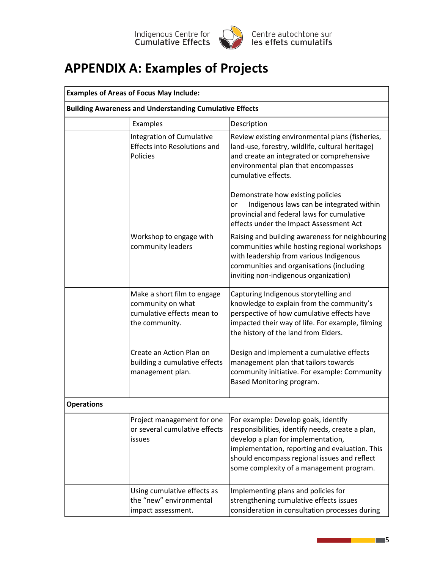

# **APPENDIX A: Examples of Projects**

| <b>Examples of Areas of Focus May Include:</b> |                                                                                                  |                                                                                                                                                                                                                                                                              |  |  |
|------------------------------------------------|--------------------------------------------------------------------------------------------------|------------------------------------------------------------------------------------------------------------------------------------------------------------------------------------------------------------------------------------------------------------------------------|--|--|
|                                                | <b>Building Awareness and Understanding Cumulative Effects</b>                                   |                                                                                                                                                                                                                                                                              |  |  |
|                                                | Examples                                                                                         | Description                                                                                                                                                                                                                                                                  |  |  |
|                                                | Integration of Cumulative<br><b>Effects into Resolutions and</b><br>Policies                     | Review existing environmental plans (fisheries,<br>land-use, forestry, wildlife, cultural heritage)<br>and create an integrated or comprehensive<br>environmental plan that encompasses<br>cumulative effects.                                                               |  |  |
|                                                |                                                                                                  | Demonstrate how existing policies<br>Indigenous laws can be integrated within<br>or<br>provincial and federal laws for cumulative<br>effects under the Impact Assessment Act                                                                                                 |  |  |
|                                                | Workshop to engage with<br>community leaders                                                     | Raising and building awareness for neighbouring<br>communities while hosting regional workshops<br>with leadership from various Indigenous<br>communities and organisations (including<br>inviting non-indigenous organization)                                              |  |  |
|                                                | Make a short film to engage<br>community on what<br>cumulative effects mean to<br>the community. | Capturing Indigenous storytelling and<br>knowledge to explain from the community's<br>perspective of how cumulative effects have<br>impacted their way of life. For example, filming<br>the history of the land from Elders.                                                 |  |  |
|                                                | Create an Action Plan on<br>building a cumulative effects<br>management plan.                    | Design and implement a cumulative effects<br>management plan that tailors towards<br>community initiative. For example: Community<br>Based Monitoring program.                                                                                                               |  |  |
| <b>Operations</b>                              |                                                                                                  |                                                                                                                                                                                                                                                                              |  |  |
|                                                | Project management for one<br>or several cumulative effects<br>issues                            | For example: Develop goals, identify<br>responsibilities, identify needs, create a plan,<br>develop a plan for implementation,<br>implementation, reporting and evaluation. This<br>should encompass regional issues and reflect<br>some complexity of a management program. |  |  |
|                                                | Using cumulative effects as<br>the "new" environmental<br>impact assessment.                     | Implementing plans and policies for<br>strengthening cumulative effects issues<br>consideration in consultation processes during                                                                                                                                             |  |  |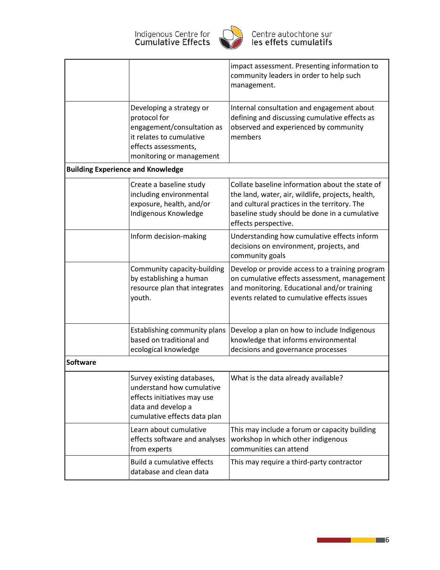

|                                          |                                                                                                                                                        | impact assessment. Presenting information to<br>community leaders in order to help such<br>management.                                                                                                                        |
|------------------------------------------|--------------------------------------------------------------------------------------------------------------------------------------------------------|-------------------------------------------------------------------------------------------------------------------------------------------------------------------------------------------------------------------------------|
|                                          | Developing a strategy or<br>protocol for<br>engagement/consultation as<br>it relates to cumulative<br>effects assessments,<br>monitoring or management | Internal consultation and engagement about<br>defining and discussing cumulative effects as<br>observed and experienced by community<br>members                                                                               |
| <b>Building Experience and Knowledge</b> |                                                                                                                                                        |                                                                                                                                                                                                                               |
|                                          | Create a baseline study<br>including environmental<br>exposure, health, and/or<br>Indigenous Knowledge                                                 | Collate baseline information about the state of<br>the land, water, air, wildlife, projects, health,<br>and cultural practices in the territory. The<br>baseline study should be done in a cumulative<br>effects perspective. |
|                                          | Inform decision-making                                                                                                                                 | Understanding how cumulative effects inform<br>decisions on environment, projects, and<br>community goals                                                                                                                     |
|                                          | Community capacity-building<br>by establishing a human<br>resource plan that integrates<br>youth.                                                      | Develop or provide access to a training program<br>on cumulative effects assessment, management<br>and monitoring. Educational and/or training<br>events related to cumulative effects issues                                 |
|                                          | Establishing community plans<br>based on traditional and<br>ecological knowledge                                                                       | Develop a plan on how to include Indigenous<br>knowledge that informs environmental<br>decisions and governance processes                                                                                                     |
| Software                                 |                                                                                                                                                        |                                                                                                                                                                                                                               |
|                                          | Survey existing databases,<br>understand how cumulative<br>effects initiatives may use<br>data and develop a<br>cumulative effects data plan           | What is the data already available?                                                                                                                                                                                           |
|                                          | Learn about cumulative<br>effects software and analyses<br>from experts                                                                                | This may include a forum or capacity building<br>workshop in which other indigenous<br>communities can attend                                                                                                                 |
|                                          | Build a cumulative effects<br>database and clean data                                                                                                  | This may require a third-party contractor                                                                                                                                                                                     |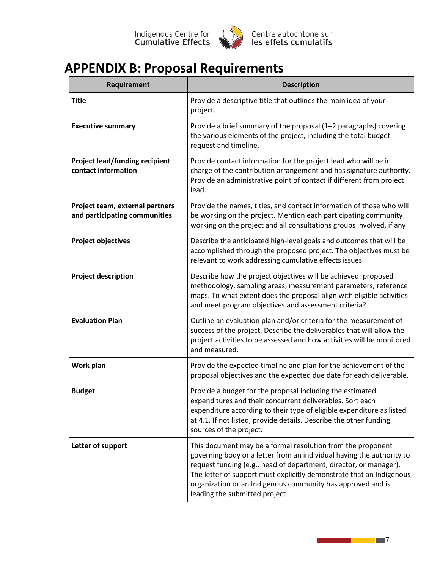

# **APPENDIX B: Proposal Requirements**

| Requirement                                                      | <b>Description</b>                                                                                                                                                                                                                                                                                                                                                                 |
|------------------------------------------------------------------|------------------------------------------------------------------------------------------------------------------------------------------------------------------------------------------------------------------------------------------------------------------------------------------------------------------------------------------------------------------------------------|
| <b>Title</b>                                                     | Provide a descriptive title that outlines the main idea of your<br>project.                                                                                                                                                                                                                                                                                                        |
| <b>Executive summary</b>                                         | Provide a brief summary of the proposal (1-2 paragraphs) covering<br>the various elements of the project, including the total budget<br>request and timeline.                                                                                                                                                                                                                      |
| <b>Project lead/funding recipient</b><br>contact information     | Provide contact information for the project lead who will be in<br>charge of the contribution arrangement and has signature authority.<br>Provide an administrative point of contact if different from project<br>lead.                                                                                                                                                            |
| Project team, external partners<br>and participating communities | Provide the names, titles, and contact information of those who will<br>be working on the project. Mention each participating community<br>working on the project and all consultations groups involved, if any                                                                                                                                                                    |
| <b>Project objectives</b>                                        | Describe the anticipated high-level goals and outcomes that will be<br>accomplished through the proposed project. The objectives must be<br>relevant to work addressing cumulative effects issues.                                                                                                                                                                                 |
| <b>Project description</b>                                       | Describe how the project objectives will be achieved: proposed<br>methodology, sampling areas, measurement parameters, reference<br>maps. To what extent does the proposal align with eligible activities<br>and meet program objectives and assessment criteria?                                                                                                                  |
| <b>Evaluation Plan</b>                                           | Outline an evaluation plan and/or criteria for the measurement of<br>success of the project. Describe the deliverables that will allow the<br>project activities to be assessed and how activities will be monitored<br>and measured.                                                                                                                                              |
| Work plan                                                        | Provide the expected timeline and plan for the achievement of the<br>proposal objectives and the expected due date for each deliverable.                                                                                                                                                                                                                                           |
| <b>Budget</b>                                                    | Provide a budget for the proposal including the estimated<br>expenditures and their concurrent deliverables. Sort each<br>expenditure according to their type of eligible expenditure as listed<br>at 4.1. If not listed, provide details. Describe the other funding<br>sources of the project.                                                                                   |
| Letter of support                                                | This document may be a formal resolution from the proponent<br>governing body or a letter from an individual having the authority to<br>request funding (e.g., head of department, director, or manager).<br>The letter of support must explicitly demonstrate that an Indigenous<br>organization or an Indigenous community has approved and is<br>leading the submitted project. |